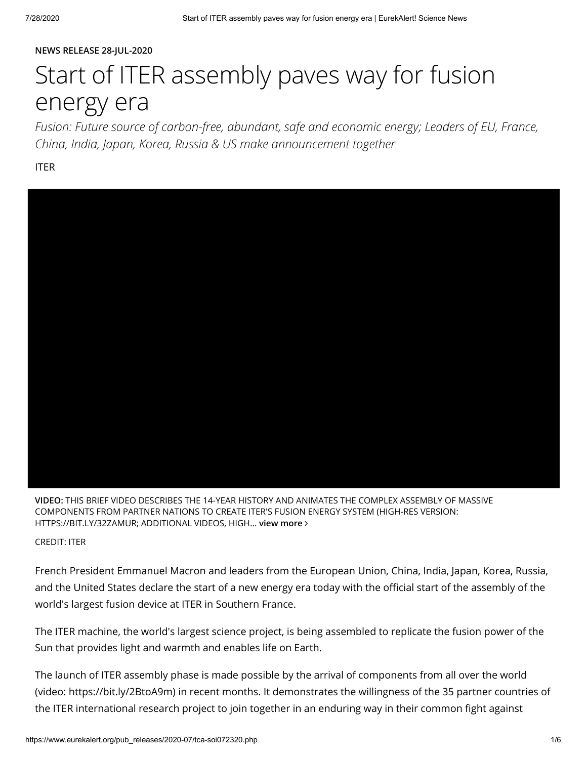#### NEWS RELEASE 28-JUL-2020

# Start of ITER assembly paves way for fusion energy era

Fusion: Future source of carbon-free, abundant, safe and economic energy; Leaders of EU, France, China, India, Japan, Korea, Russia & US make announcement together

ITER



VIDEO: THIS BRIEF VIDEO DESCRIBES THE 14-YEAR HISTORY AND ANIMATES THE COMPLEX ASSEMBLY OF MASSIVE COMPONENTS FROM PARTNER NATIONS TO CREATE ITER'S FUSION ENERGY SYSTEM (HIGH-RES VERSION: HTTPS://BIT.LY/32ZAMUR; ADDITIONAL VIDEOS, HIGH... [view more](https://www.eurekalert.org/multimedia/pub/238396.php) >

CREDIT: ITER

French President Emmanuel Macron and leaders from the European Union, China, India, Japan, Korea, Russia, and the United States declare the start of a new energy era today with the official start of the assembly of the world's largest fusion device at ITER in Southern France.

The ITER machine, the world's largest science project, is being assembled to replicate the fusion power of the Sun that provides light and warmth and enables life on Earth.

The launch of ITER assembly phase is made possible by the arrival of components from all over the world (video: <https://bit.ly/2BtoA9m>) in recent months. It demonstrates the willingness of the 35 partner countries of the ITER international research project to join together in an enduring way in their common fight against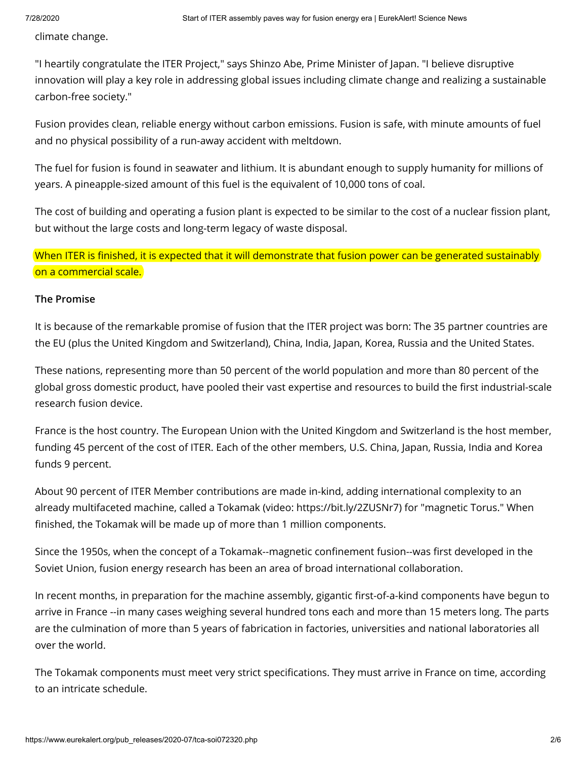climate change.

"I heartily congratulate the ITER Project," says Shinzo Abe, Prime Minister of Japan. "I believe disruptive innovation will play a key role in addressing global issues including climate change and realizing a sustainable carbon-free society."

Fusion provides clean, reliable energy without carbon emissions. Fusion is safe, with minute amounts of fuel and no physical possibility of a run-away accident with meltdown.

The fuel for fusion is found in seawater and lithium. It is abundant enough to supply humanity for millions of years. A pineapple-sized amount of this fuel is the equivalent of 10,000 tons of coal.

The cost of building and operating a fusion plant is expected to be similar to the cost of a nuclear fission plant, but without the large costs and long-term legacy of waste disposal.

When ITER is finished, it is expected that it will demonstrate that fusion power can be generated sustainably on a commercial scale.

#### The Promise

It is because of the remarkable promise of fusion that the ITER project was born: The 35 partner countries are the EU (plus the United Kingdom and Switzerland), China, India, Japan, Korea, Russia and the United States.

These nations, representing more than 50 percent of the world population and more than 80 percent of the global gross domestic product, have pooled their vast expertise and resources to build the first industrial-scale research fusion device.

France is the host country. The European Union with the United Kingdom and Switzerland is the host member, funding 45 percent of the cost of ITER. Each of the other members, U.S. China, Japan, Russia, India and Korea funds 9 percent.

About 90 percent of ITER Member contributions are made in-kind, adding international complexity to an already multifaceted machine, called a Tokamak (video: <https://bit.ly/2ZUSNr7>) for "magnetic Torus." When finished, the Tokamak will be made up of more than 1 million components.

Since the 1950s, when the concept of a Tokamak--magnetic confinement fusion--was first developed in the Soviet Union, fusion energy research has been an area of broad international collaboration.

In recent months, in preparation for the machine assembly, gigantic first-of-a-kind components have begun to arrive in France --in many cases weighing several hundred tons each and more than 15 meters long. The parts are the culmination of more than 5 years of fabrication in factories, universities and national laboratories all over the world.

The Tokamak components must meet very strict specifications. They must arrive in France on time, according to an intricate schedule.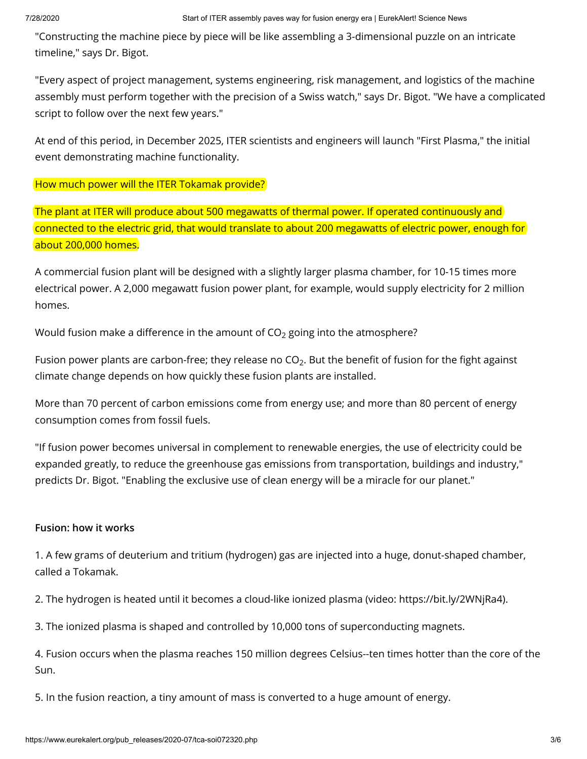"Constructing the machine piece by piece will be like assembling a 3-dimensional puzzle on an intricate timeline," says Dr. Bigot.

"Every aspect of project management, systems engineering, risk management, and logistics of the machine assembly must perform together with the precision of a Swiss watch," says Dr. Bigot. "We have a complicated script to follow over the next few years."

At end of this period, in December 2025, ITER scientists and engineers will launch "First Plasma," the initial event demonstrating machine functionality.

How much power will the ITER Tokamak provide?

The plant at ITER will produce about 500 megawatts of thermal power. If operated continuously and connected to the electric grid, that would translate to about 200 megawatts of electric power, enough for about 200,000 homes.

A commercial fusion plant will be designed with a slightly larger plasma chamber, for 10-15 times more electrical power. A 2,000 megawatt fusion power plant, for example, would supply electricity for 2 million homes.

Would fusion make a difference in the amount of CO $_2$  going into the atmosphere?

Fusion power plants are carbon-free; they release no CO $_2$ . But the benefit of fusion for the fight against climate change depends on how quickly these fusion plants are installed.

More than 70 percent of carbon emissions come from energy use; and more than 80 percent of energy consumption comes from fossil fuels.

"If fusion power becomes universal in complement to renewable energies, the use of electricity could be expanded greatly, to reduce the greenhouse gas emissions from transportation, buildings and industry," predicts Dr. Bigot. "Enabling the exclusive use of clean energy will be a miracle for our planet."

## Fusion: how it works

1. A few grams of deuterium and tritium (hydrogen) gas are injected into a huge, donut-shaped chamber, called a Tokamak.

2. The hydrogen is heated until it becomes a cloud-like ionized plasma (video: <https://bit.ly/2WNjRa4>).

3. The ionized plasma is shaped and controlled by 10,000 tons of superconducting magnets.

4. Fusion occurs when the plasma reaches 150 million degrees Celsius--ten times hotter than the core of the Sun.

5. In the fusion reaction, a tiny amount of mass is converted to a huge amount of energy.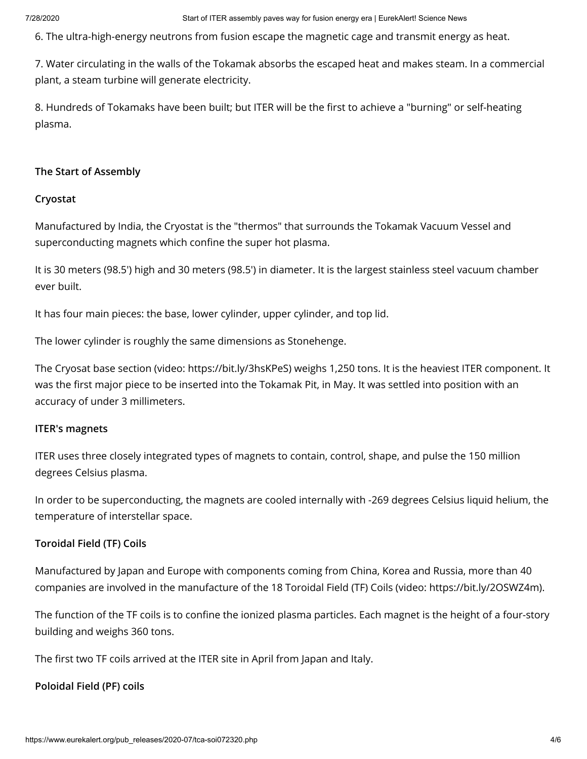6. The ultra-high-energy neutrons from fusion escape the magnetic cage and transmit energy as heat.

7. Water circulating in the walls of the Tokamak absorbs the escaped heat and makes steam. In a commercial plant, a steam turbine will generate electricity.

8. Hundreds of Tokamaks have been built; but ITER will be the first to achieve a "burning" or self-heating plasma.

### The Start of Assembly

#### Cryostat

Manufactured by India, the Cryostat is the "thermos" that surrounds the Tokamak Vacuum Vessel and superconducting magnets which confine the super hot plasma.

It is 30 meters (98.5') high and 30 meters (98.5') in diameter. It is the largest stainless steel vacuum chamber ever built.

It has four main pieces: the base, lower cylinder, upper cylinder, and top lid.

The lower cylinder is roughly the same dimensions as Stonehenge.

The Cryosat base section (video: <https://bit.ly/3hsKPeS>) weighs 1,250 tons. It is the heaviest ITER component. It was the first major piece to be inserted into the Tokamak Pit, in May. It was settled into position with an accuracy of under 3 millimeters.

#### ITER's magnets

ITER uses three closely integrated types of magnets to contain, control, shape, and pulse the 150 million degrees Celsius plasma.

In order to be superconducting, the magnets are cooled internally with -269 degrees Celsius liquid helium, the temperature of interstellar space.

#### Toroidal Field (TF) Coils

Manufactured by Japan and Europe with components coming from China, Korea and Russia, more than 40 companies are involved in the manufacture of the 18 Toroidal Field (TF) Coils (video: <https://bit.ly/2OSWZ4m>).

The function of the TF coils is to confine the ionized plasma particles. Each magnet is the height of a four-story building and weighs 360 tons.

The first two TF coils arrived at the ITER site in April from Japan and Italy.

## Poloidal Field (PF) coils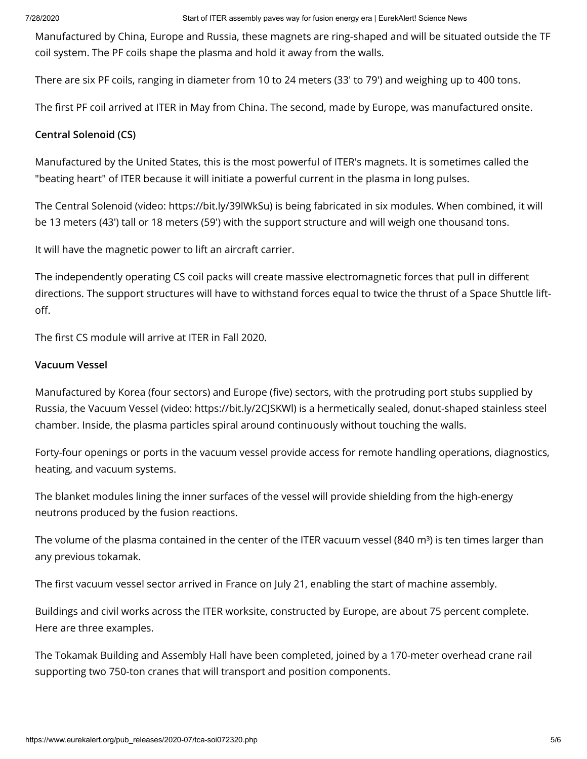Manufactured by China, Europe and Russia, these magnets are ring-shaped and will be situated outside the TF coil system. The PF coils shape the plasma and hold it away from the walls.

There are six PF coils, ranging in diameter from 10 to 24 meters (33' to 79') and weighing up to 400 tons.

The first PF coil arrived at ITER in May from China. The second, made by Europe, was manufactured onsite.

### Central Solenoid (CS)

Manufactured by the United States, this is the most powerful of ITER's magnets. It is sometimes called the "beating heart" of ITER because it will initiate a powerful current in the plasma in long pulses.

The Central Solenoid (video: <https://bit.ly/39lWkSu>) is being fabricated in six modules. When combined, it will be 13 meters (43') tall or 18 meters (59') with the support structure and will weigh one thousand tons.

It will have the magnetic power to lift an aircraft carrier.

The independently operating CS coil packs will create massive electromagnetic forces that pull in different directions. The support structures will have to withstand forces equal to twice the thrust of a Space Shuttle liftoff.

The first CS module will arrive at ITER in Fall 2020.

#### Vacuum Vessel

Manufactured by Korea (four sectors) and Europe (five) sectors, with the protruding port stubs supplied by Russia, the Vacuum Vessel (video: <https://bit.ly/2CJSKWl>) is a hermetically sealed, donut-shaped stainless steel chamber. Inside, the plasma particles spiral around continuously without touching the walls.

Forty-four openings or ports in the vacuum vessel provide access for remote handling operations, diagnostics, heating, and vacuum systems.

The blanket modules lining the inner surfaces of the vessel will provide shielding from the high-energy neutrons produced by the fusion reactions.

The volume of the plasma contained in the center of the ITER vacuum vessel (840 m<sup>3</sup>) is ten times larger than any previous tokamak.

The first vacuum vessel sector arrived in France on July 21, enabling the start of machine assembly.

Buildings and civil works across the ITER worksite, constructed by Europe, are about 75 percent complete. Here are three examples.

The Tokamak Building and Assembly Hall have been completed, joined by a 170-meter overhead crane rail supporting two 750-ton cranes that will transport and position components.